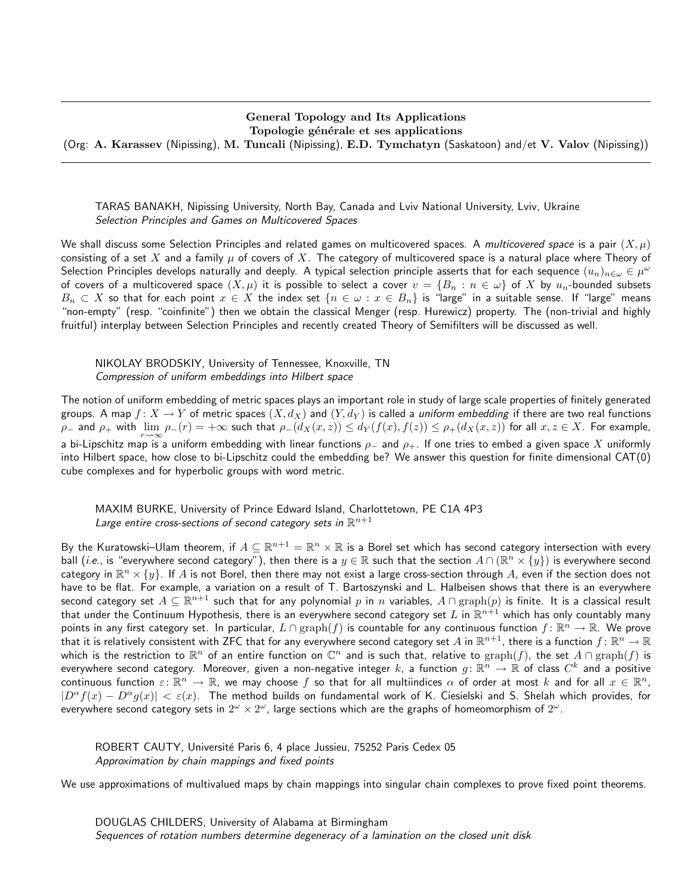#### General Topology and Its Applications Topologie générale et ses applications

(Org: A. Karassev (Nipissing), M. Tuncali (Nipissing), E.D. Tymchatyn (Saskatoon) and/et V. Valov (Nipissing))

TARAS BANAKH, Nipissing University, North Bay, Canada and Lviv National University, Lviv, Ukraine Selection Principles and Games on Multicovered Spaces

We shall discuss some Selection Principles and related games on multicovered spaces. A multicovered space is a pair  $(X, \mu)$ consisting of a set X and a family  $\mu$  of covers of X. The category of multicovered space is a natural place where Theory of Selection Principles develops naturally and deeply. A typical selection principle asserts that for each sequence  $(u_n)_{n\in\omega}\in\mu^\omega$ of covers of a multicovered space  $(X,\mu)$  it is possible to select a cover  $v = \{B_n : n \in \omega\}$  of X by  $u_n$ -bounded subsets  $B_n \subset X$  so that for each point  $x \in X$  the index set  $\{n \in \omega : x \in B_n\}$  is "large" in a suitable sense. If "large" means "non-empty" (resp. "coinfinite") then we obtain the classical Menger (resp. Hurewicz) property. The (non-trivial and highly fruitful) interplay between Selection Principles and recently created Theory of Semifilters will be discussed as well.

## NIKOLAY BRODSKIY, University of Tennessee, Knoxville, TN Compression of uniform embeddings into Hilbert space

The notion of uniform embedding of metric spaces plays an important role in study of large scale properties of finitely generated groups. A map  $f: X \to Y$  of metric spaces  $(X, d_X)$  and  $(Y, d_Y)$  is called a *uniform embedding* if there are two real functions  $\rho_-$  and  $\rho_+$  with  $\lim_{r\to\infty}\rho_-(r)=+\infty$  such that  $\rho_-(d_X(x,z))\le d_Y(f(x),f(z))\le \rho_+(d_X(x,z))$  for all  $x,z\in X$ . For example, a bi-Lipschitz map is a uniform embedding with linear functions  $\rho_+$  and  $\rho_+$ . If one tries to embed a given space X uniformly into Hilbert space, how close to bi-Lipschitz could the embedding be? We answer this question for finite dimensional CAT(0) cube complexes and for hyperbolic groups with word metric.

# MAXIM BURKE, University of Prince Edward Island, Charlottetown, PE C1A 4P3 Large entire cross-sections of second category sets in  $\mathbb{R}^{n+1}$

By the Kuratowski–Ulam theorem, if  $A\subseteq\R^{n+1}=\R^n\times\R$  is a Borel set which has second category intersection with every ball (i.e., is "everywhere second category"), then there is a  $y\in\mathbb{R}$  such that the section  $A\cap(\mathbb{R}^n\times\{y\})$  is everywhere second category in  $\R^n\times\{y\}.$  If  $A$  is not Borel, then there may not exist a large cross-section through  $A$ , even if the section does not have to be flat. For example, a variation on a result of T. Bartoszynski and L. Halbeisen shows that there is an everywhere second category set  $A\subseteq \R^{n+1}$  such that for any polynomial  $p$  in  $n$  variables,  $A\cap \text{graph}(p)$  is finite. It is a classical result that under the Continuum Hypothesis, there is an everywhere second category set  $L$  in  $\R^{n+1}$  which has only countably many points in any first category set. In particular,  $L\cap\text{graph}(f)$  is countable for any continuous function  $f\colon\mathbb{R}^n\to\mathbb{R}$ . We prove that it is relatively consistent with ZFC that for any everywhere second category set  $A$  in  $\R^{n+1}$ , there is a function  $f\colon\R^n\to\R$ which is the restriction to  $\mathbb{R}^n$  of an entire function on  $\mathbb{C}^n$  and is such that, relative to  $\text{graph}(f)$ , the set  $A\cap\text{graph}(f)$  is everywhere second category. Moreover, given a non-negative integer  $k$ , a function  $g\colon\R^{\bar n}\to\R$  of class  $C^k$  and a positive continuous function  $\varepsilon\colon\mathbb{R}^n\to\mathbb{R}$ , we may choose  $f$  so that for all multiindices  $\alpha$  of order at most  $k$  and for all  $x\in\mathbb{R}^n$ ,  $|D^{\alpha}f(x) - D^{\alpha}g(x)| < \varepsilon(x)$ . The method builds on fundamental work of K. Ciesielski and S. Shelah which provides, for everywhere second category sets in  $2^\omega \times 2^\omega$ , large sections which are the graphs of homeomorphism of  $2^\omega$ .

ROBERT CAUTY, Université Paris 6, 4 place Jussieu, 75252 Paris Cedex 05 Approximation by chain mappings and fixed points

We use approximations of multivalued maps by chain mappings into singular chain complexes to prove fixed point theorems.

DOUGLAS CHILDERS, University of Alabama at Birmingham Sequences of rotation numbers determine degeneracy of a lamination on the closed unit disk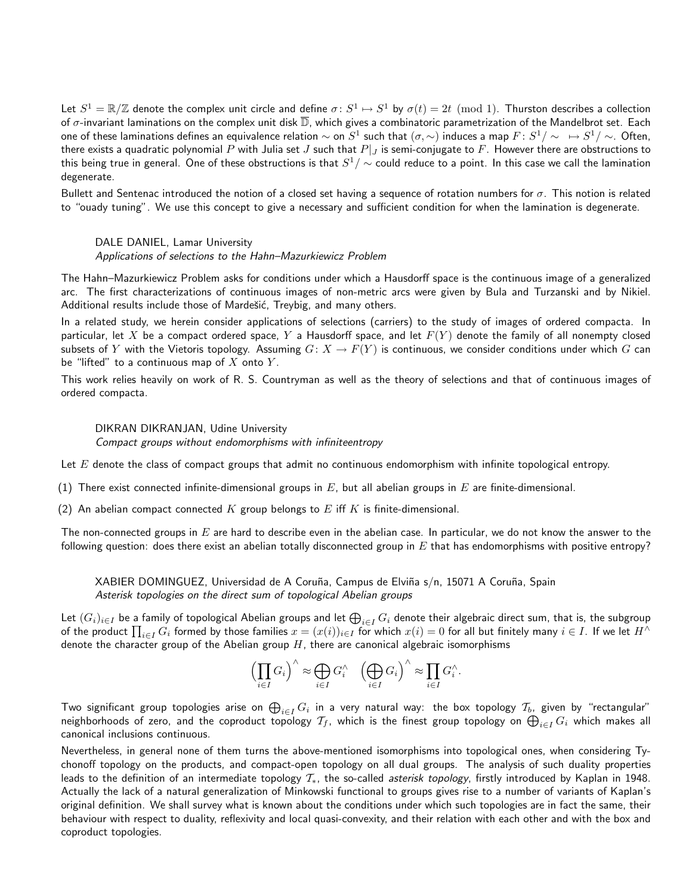Let  $S^1=\mathbb{R}/\mathbb{Z}$  denote the complex unit circle and define  $\sigma\colon S^1\mapsto S^1$  by  $\sigma(t)=2t\pmod 1$ . Thurston describes a collection of  $\sigma$ -invariant laminations on the complex unit disk  $\overline{D}$ , which gives a combinatoric parametrization of the Mandelbrot set. Each one of these laminations defines an equivalence relation  $\sim$  on  $S^1$  such that  $(\sigma,\sim)$  induces a map  $F\colon S^1/\sim\;\;\mapsto S^1/\sim\;.$  Often, there exists a quadratic polynomial P with Julia set J such that  $P|_J$  is semi-conjugate to F. However there are obstructions to this being true in general. One of these obstructions is that  $S^1/\sim$  could reduce to a point. In this case we call the lamination degenerate.

Bullett and Sentenac introduced the notion of a closed set having a sequence of rotation numbers for  $\sigma$ . This notion is related to "ouady tuning". We use this concept to give a necessary and sufficient condition for when the lamination is degenerate.

DALE DANIEL, Lamar University Applications of selections to the Hahn–Mazurkiewicz Problem

The Hahn–Mazurkiewicz Problem asks for conditions under which a Hausdorff space is the continuous image of a generalized arc. The first characterizations of continuous images of non-metric arcs were given by Bula and Turzanski and by Nikiel. Additional results include those of Mardešić, Treybig, and many others.

In a related study, we herein consider applications of selections (carriers) to the study of images of ordered compacta. In particular, let X be a compact ordered space, Y a Hausdorff space, and let  $F(Y)$  denote the family of all nonempty closed subsets of Y with the Vietoris topology. Assuming  $G: X \to F(Y)$  is continuous, we consider conditions under which G can be "lifted" to a continuous map of  $X$  onto  $Y$ .

This work relies heavily on work of R. S. Countryman as well as the theory of selections and that of continuous images of ordered compacta.

# DIKRAN DIKRANJAN, Udine University

Compact groups without endomorphisms with infiniteentropy

Let  $E$  denote the class of compact groups that admit no continuous endomorphism with infinite topological entropy.

(1) There exist connected infinite-dimensional groups in  $E$ , but all abelian groups in  $E$  are finite-dimensional.

(2) An abelian compact connected K group belongs to E iff K is finite-dimensional.

The non-connected groups in  $E$  are hard to describe even in the abelian case. In particular, we do not know the answer to the following question: does there exist an abelian totally disconnected group in  $E$  that has endomorphisms with positive entropy?

XABIER DOMINGUEZ, Universidad de A Coruña, Campus de Elviña s/n, 15071 A Coruña, Spain Asterisk topologies on the direct sum of topological Abelian groups

Let  $(G_i)_{i\in I}$  be a family of topological Abelian groups and let  $\bigoplus_{i\in I}G_i$  denote their algebraic direct sum, that is, the subgroup of the product  $\prod_{i\in I}G_i$  formed by those families  $x=(x(i))_{i\in I}$  for which  $x(i)=0$  for all but finitely many  $i\in I$ . If we let  $H^\wedge$ denote the character group of the Abelian group  $H$ , there are canonical algebraic isomorphisms

$$
\left(\prod_{i\in I}G_i\right)^\wedge\approx\bigoplus_{i\in I}G_i^\wedge\quad \left(\bigoplus_{i\in I}G_i\right)^\wedge\approx\prod_{i\in I}G_i^\wedge.
$$

Two significant group topologies arise on  $\bigoplus_{i\in I}G_i$  in a very natural way: the box topology  $\mathcal{T}_b$ , given by "rectangular" neighborhoods of zero, and the coproduct topology  $\mathcal{T}_f$ , which is the finest group topology on  $\bigoplus_{i\in I}G_i$  which makes all canonical inclusions continuous.

Nevertheless, in general none of them turns the above-mentioned isomorphisms into topological ones, when considering Tychonoff topology on the products, and compact-open topology on all dual groups. The analysis of such duality properties leads to the definition of an intermediate topology  $\mathcal{T}_{*}$ , the so-called *asterisk topology*, firstly introduced by Kaplan in 1948. Actually the lack of a natural generalization of Minkowski functional to groups gives rise to a number of variants of Kaplan's original definition. We shall survey what is known about the conditions under which such topologies are in fact the same, their behaviour with respect to duality, reflexivity and local quasi-convexity, and their relation with each other and with the box and coproduct topologies.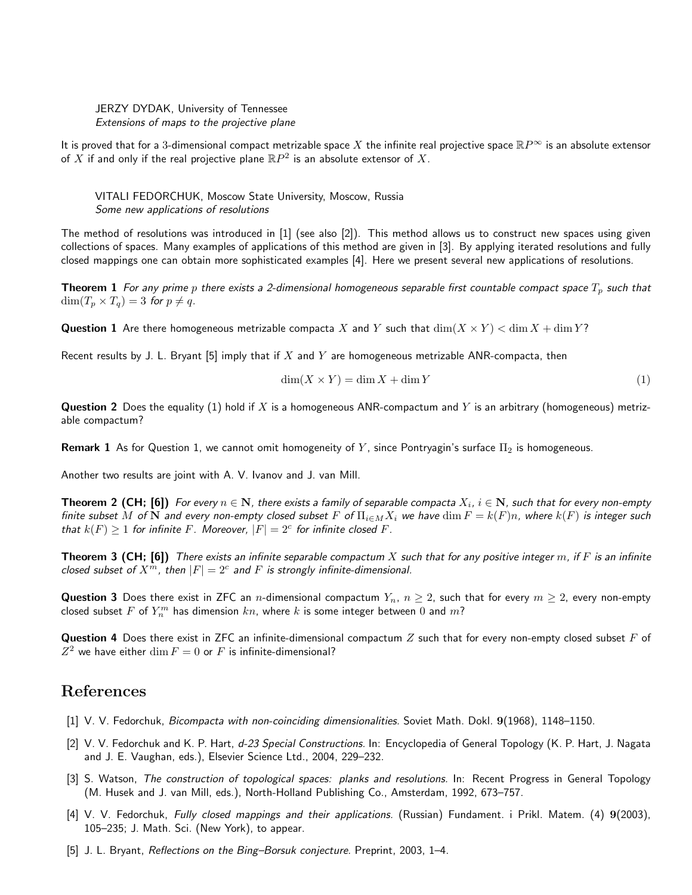#### JERZY DYDAK, University of Tennessee Extensions of maps to the projective plane

It is proved that for a 3-dimensional compact metrizable space X the infinite real projective space  $\mathbb{R}P^{\infty}$  is an absolute extensor of  $X$  if and only if the real projective plane  $\mathbb{R}P^2$  is an absolute extensor of  $X.$ 

VITALI FEDORCHUK, Moscow State University, Moscow, Russia Some new applications of resolutions

The method of resolutions was introduced in [1] (see also [2]). This method allows us to construct new spaces using given collections of spaces. Many examples of applications of this method are given in [3]. By applying iterated resolutions and fully closed mappings one can obtain more sophisticated examples [4]. Here we present several new applications of resolutions.

**Theorem 1** For any prime p there exists a 2-dimensional homogeneous separable first countable compact space  $T_p$  such that  $\dim(T_p \times T_q) = 3$  for  $p \neq q$ .

**Question 1** Are there homogeneous metrizable compacta X and Y such that  $\dim(X \times Y) < \dim X + \dim Y$ ?

Recent results by J. L. Bryant [5] imply that if  $X$  and  $Y$  are homogeneous metrizable ANR-compacta, then

$$
\dim(X \times Y) = \dim X + \dim Y \tag{1}
$$

**Question 2** Does the equality (1) hold if X is a homogeneous ANR-compactum and Y is an arbitrary (homogeneous) metrizable compactum?

**Remark 1** As for Question 1, we cannot omit homogeneity of Y, since Pontryagin's surface  $\Pi_2$  is homogeneous.

Another two results are joint with A. V. Ivanov and J. van Mill.

**Theorem 2 (CH; [6])** For every  $n \in \mathbf{N}$ , there exists a family of separable compacta  $X_i$ ,  $i \in \mathbf{N}$ , such that for every non-empty finite subset M of N and every non-empty closed subset F of  $\Pi_{i\in M}X_i$  we have  $\dim F = k(F)n$ , where  $k(F)$  is integer such that  $k(F) \geq 1$  for infinite F. Moreover,  $|F| = 2<sup>c</sup>$  for infinite closed F.

**Theorem 3 (CH; [6])** There exists an infinite separable compactum X such that for any positive integer m, if F is an infinite closed subset of  $X^m$ , then  $|F| = 2^c$  and F is strongly infinite-dimensional.

**Question 3** Does there exist in ZFC an *n*-dimensional compactum  $Y_n$ ,  $n \geq 2$ , such that for every  $m \geq 2$ , every non-empty closed subset  $F$  of  $Y_n^m$  has dimension  $kn$ , where  $k$  is some integer between  $0$  and  $m$ ?

**Question 4** Does there exist in ZFC an infinite-dimensional compactum Z such that for every non-empty closed subset F of  $Z^2$  we have either  $\dim F = 0$  or  $F$  is infinite-dimensional?

# References

- [1] V. V. Fedorchuk, Bicompacta with non-coinciding dimensionalities. Soviet Math. Dokl. 9(1968), 1148–1150.
- [2] V. V. Fedorchuk and K. P. Hart, d-23 Special Constructions. In: Encyclopedia of General Topology (K. P. Hart, J. Nagata and J. E. Vaughan, eds.), Elsevier Science Ltd., 2004, 229–232.
- [3] S. Watson, The construction of topological spaces: planks and resolutions. In: Recent Progress in General Topology (M. Husek and J. van Mill, eds.), North-Holland Publishing Co., Amsterdam, 1992, 673–757.
- [4] V. V. Fedorchuk, Fully closed mappings and their applications. (Russian) Fundament. i Prikl. Matem. (4) 9(2003), 105–235; J. Math. Sci. (New York), to appear.
- [5] J. L. Bryant, Reflections on the Bing–Borsuk conjecture. Preprint, 2003, 1–4.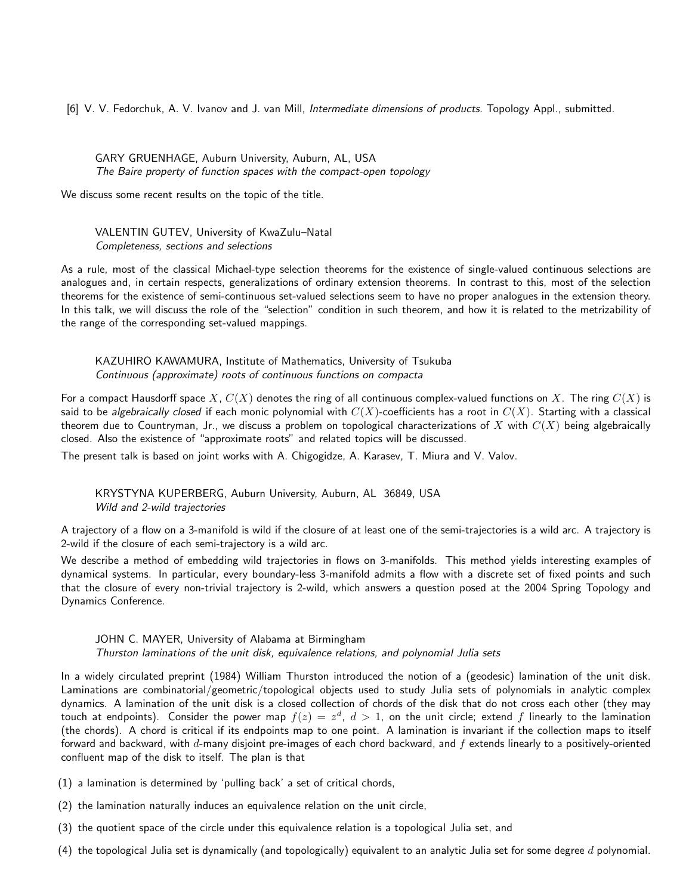[6] V. V. Fedorchuk, A. V. Ivanov and J. van Mill, Intermediate dimensions of products. Topology Appl., submitted.

# GARY GRUENHAGE, Auburn University, Auburn, AL, USA The Baire property of function spaces with the compact-open topology

We discuss some recent results on the topic of the title.

### VALENTIN GUTEV, University of KwaZulu–Natal Completeness, sections and selections

As a rule, most of the classical Michael-type selection theorems for the existence of single-valued continuous selections are analogues and, in certain respects, generalizations of ordinary extension theorems. In contrast to this, most of the selection theorems for the existence of semi-continuous set-valued selections seem to have no proper analogues in the extension theory. In this talk, we will discuss the role of the "selection" condition in such theorem, and how it is related to the metrizability of the range of the corresponding set-valued mappings.

## KAZUHIRO KAWAMURA, Institute of Mathematics, University of Tsukuba Continuous (approximate) roots of continuous functions on compacta

For a compact Hausdorff space X,  $C(X)$  denotes the ring of all continuous complex-valued functions on X. The ring  $C(X)$  is said to be algebraically closed if each monic polynomial with  $C(X)$ -coefficients has a root in  $C(X)$ . Starting with a classical theorem due to Countryman, Jr., we discuss a problem on topological characterizations of X with  $C(X)$  being algebraically closed. Also the existence of "approximate roots" and related topics will be discussed.

The present talk is based on joint works with A. Chigogidze, A. Karasev, T. Miura and V. Valov.

### KRYSTYNA KUPERBERG, Auburn University, Auburn, AL 36849, USA Wild and 2-wild trajectories

A trajectory of a flow on a 3-manifold is wild if the closure of at least one of the semi-trajectories is a wild arc. A trajectory is 2-wild if the closure of each semi-trajectory is a wild arc.

We describe a method of embedding wild trajectories in flows on 3-manifolds. This method yields interesting examples of dynamical systems. In particular, every boundary-less 3-manifold admits a flow with a discrete set of fixed points and such that the closure of every non-trivial trajectory is 2-wild, which answers a question posed at the 2004 Spring Topology and Dynamics Conference.

# JOHN C. MAYER, University of Alabama at Birmingham Thurston laminations of the unit disk, equivalence relations, and polynomial Julia sets

In a widely circulated preprint (1984) William Thurston introduced the notion of a (geodesic) lamination of the unit disk. Laminations are combinatorial/geometric/topological objects used to study Julia sets of polynomials in analytic complex dynamics. A lamination of the unit disk is a closed collection of chords of the disk that do not cross each other (they may touch at endpoints). Consider the power map  $f(z) = z^d, \ d > 1$ , on the unit circle; extend  $f$  linearly to the lamination (the chords). A chord is critical if its endpoints map to one point. A lamination is invariant if the collection maps to itself forward and backward, with  $d$ -many disjoint pre-images of each chord backward, and  $f$  extends linearly to a positively-oriented confluent map of the disk to itself. The plan is that

- (1) a lamination is determined by 'pulling back' a set of critical chords,
- (2) the lamination naturally induces an equivalence relation on the unit circle,
- (3) the quotient space of the circle under this equivalence relation is a topological Julia set, and
- (4) the topological Julia set is dynamically (and topologically) equivalent to an analytic Julia set for some degree  $d$  polynomial.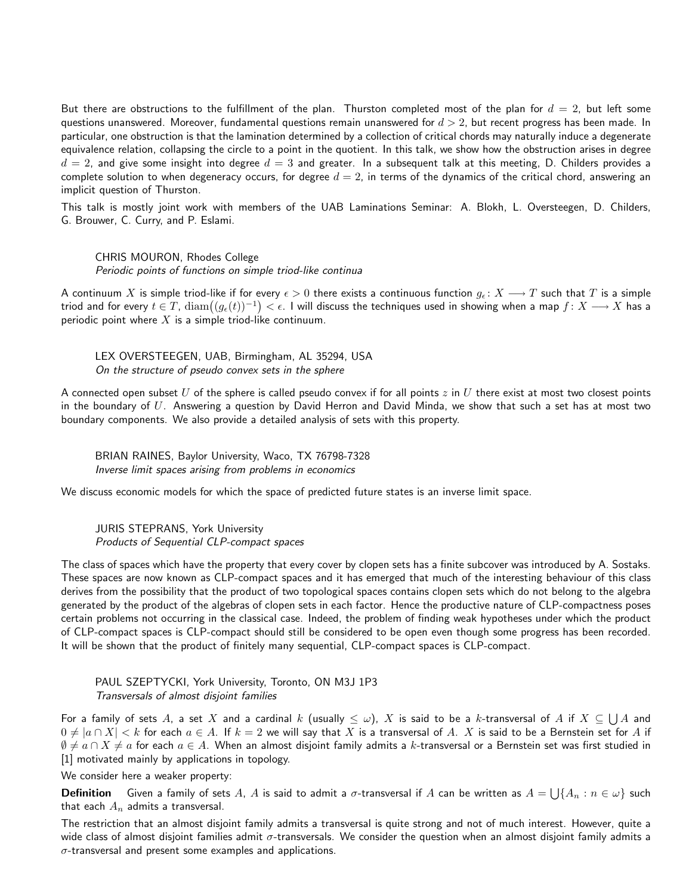But there are obstructions to the fulfillment of the plan. Thurston completed most of the plan for  $d = 2$ , but left some questions unanswered. Moreover, fundamental questions remain unanswered for  $d > 2$ , but recent progress has been made. In particular, one obstruction is that the lamination determined by a collection of critical chords may naturally induce a degenerate equivalence relation, collapsing the circle to a point in the quotient. In this talk, we show how the obstruction arises in degree  $d = 2$ , and give some insight into degree  $d = 3$  and greater. In a subsequent talk at this meeting, D. Childers provides a complete solution to when degeneracy occurs, for degree  $d = 2$ , in terms of the dynamics of the critical chord, answering an implicit question of Thurston.

This talk is mostly joint work with members of the UAB Laminations Seminar: A. Blokh, L. Oversteegen, D. Childers, G. Brouwer, C. Curry, and P. Eslami.

CHRIS MOURON, Rhodes College Periodic points of functions on simple triod-like continua

A continuum X is simple triod-like if for every  $\epsilon > 0$  there exists a continuous function  $g_{\epsilon}: X \longrightarrow T$  such that T is a simple triod and for every  $t\in T$ ,  $\mathrm{diam}\big((g_\epsilon(t))^{-1}\big)<\epsilon.$  I will discuss the techniques used in showing when a map  $f\colon X\longrightarrow X$  has a periodic point where  $X$  is a simple triod-like continuum.

LEX OVERSTEEGEN, UAB, Birmingham, AL 35294, USA On the structure of pseudo convex sets in the sphere

A connected open subset U of the sphere is called pseudo convex if for all points  $z$  in U there exist at most two closest points in the boundary of  $U$ . Answering a question by David Herron and David Minda, we show that such a set has at most two boundary components. We also provide a detailed analysis of sets with this property.

BRIAN RAINES, Baylor University, Waco, TX 76798-7328 Inverse limit spaces arising from problems in economics

We discuss economic models for which the space of predicted future states is an inverse limit space.

JURIS STEPRANS, York University Products of Sequential CLP-compact spaces

The class of spaces which have the property that every cover by clopen sets has a finite subcover was introduced by A. Sostaks. These spaces are now known as CLP-compact spaces and it has emerged that much of the interesting behaviour of this class derives from the possibility that the product of two topological spaces contains clopen sets which do not belong to the algebra generated by the product of the algebras of clopen sets in each factor. Hence the productive nature of CLP-compactness poses certain problems not occurring in the classical case. Indeed, the problem of finding weak hypotheses under which the product of CLP-compact spaces is CLP-compact should still be considered to be open even though some progress has been recorded. It will be shown that the product of finitely many sequential, CLP-compact spaces is CLP-compact.

PAUL SZEPTYCKI, York University, Toronto, ON M3J 1P3 Transversals of almost disjoint families

For a family of sets  $A$ , a set  $X$  and a cardinal  $k$  (usually  $\leq \omega$ ),  $X$  is said to be a  $k$ -transversal of  $A$  if  $X\subseteq\bigcup A$  and  $0 \neq |a \cap X| < k$  for each  $a \in A$ . If  $k = 2$  we will say that X is a transversal of A. X is said to be a Bernstein set for A if  $\emptyset \neq a \cap X \neq a$  for each  $a \in A$ . When an almost disjoint family admits a k-transversal or a Bernstein set was first studied in [1] motivated mainly by applications in topology.

We consider here a weaker property:

**Definition** Given a family of sets  $A$ ,  $A$  is said to admit a  $\sigma$ -transversal if  $A$  can be written as  $A=\bigcup\{A_n:n\in\omega\}$  such that each  $A_n$  admits a transversal.

The restriction that an almost disjoint family admits a transversal is quite strong and not of much interest. However, quite a wide class of almost disjoint families admit  $\sigma$ -transversals. We consider the question when an almost disjoint family admits a  $\sigma$ -transversal and present some examples and applications.